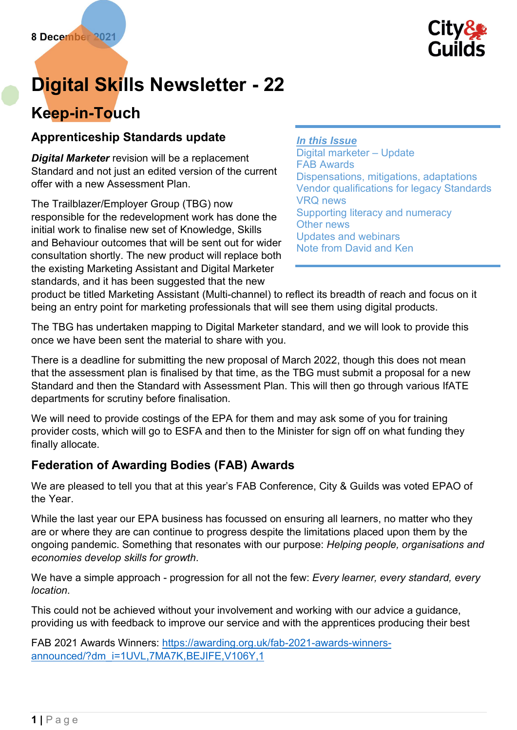

# Digital Skills Newsletter - 22

## Keep-in-Touch

## Apprenticeship Standards update

**Digital Marketer** revision will be a replacement Standard and not just an edited version of the current offer with a new Assessment Plan.

The Trailblazer/Employer Group (TBG) now responsible for the redevelopment work has done the initial work to finalise new set of Knowledge, Skills and Behaviour outcomes that will be sent out for wider consultation shortly. The new product will replace both the existing Marketing Assistant and Digital Marketer standards, and it has been suggested that the new

#### In this Issue

Digital marketer – Update FAB Awards Dispensations, mitigations, adaptations Vendor qualifications for legacy Standards VRQ news Supporting literacy and numeracy Other news Updates and webinars Note from David and Ken

product be titled Marketing Assistant (Multi-channel) to reflect its breadth of reach and focus on it being an entry point for marketing professionals that will see them using digital products.

The TBG has undertaken mapping to Digital Marketer standard, and we will look to provide this once we have been sent the material to share with you.

There is a deadline for submitting the new proposal of March 2022, though this does not mean that the assessment plan is finalised by that time, as the TBG must submit a proposal for a new Standard and then the Standard with Assessment Plan. This will then go through various IfATE departments for scrutiny before finalisation.

We will need to provide costings of the EPA for them and may ask some of you for training provider costs, which will go to ESFA and then to the Minister for sign off on what funding they finally allocate.

## Federation of Awarding Bodies (FAB) Awards

We are pleased to tell you that at this year's FAB Conference, City & Guilds was voted EPAO of the Year.

While the last year our EPA business has focussed on ensuring all learners, no matter who they are or where they are can continue to progress despite the limitations placed upon them by the ongoing pandemic. Something that resonates with our purpose: Helping people, organisations and economies develop skills for growth.

We have a simple approach - progression for all not the few: Every learner, every standard, every location.

This could not be achieved without your involvement and working with our advice a guidance, providing us with feedback to improve our service and with the apprentices producing their best

FAB 2021 Awards Winners: https://awarding.org.uk/fab-2021-awards-winnersannounced/?dm\_i=1UVL,7MA7K,BEJIFE,V106Y,1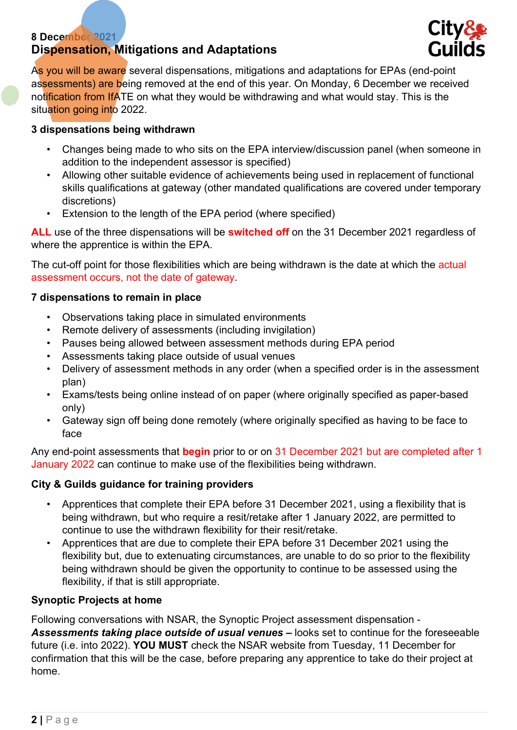#### 8 December 2021 Dispensation, Mitigations and Adaptations



As you will be aware several dispensations, mitigations and adaptations for EPAs (end-point assessments) are being removed at the end of this year. On Monday, 6 December we received notification from IfATE on what they would be withdrawing and what would stay. This is the situation going into 2022.

#### 3 dispensations being withdrawn

- Changes being made to who sits on the EPA interview/discussion panel (when someone in addition to the independent assessor is specified)
- Allowing other suitable evidence of achievements being used in replacement of functional skills qualifications at gateway (other mandated qualifications are covered under temporary discretions)
- Extension to the length of the EPA period (where specified)

ALL use of the three dispensations will be **switched off** on the 31 December 2021 regardless of where the apprentice is within the EPA.

The cut-off point for those flexibilities which are being withdrawn is the date at which the actual assessment occurs, not the date of gateway.

#### 7 dispensations to remain in place

- Observations taking place in simulated environments
- Remote delivery of assessments (including invigilation)
- Pauses being allowed between assessment methods during EPA period
- Assessments taking place outside of usual venues
- Delivery of assessment methods in any order (when a specified order is in the assessment plan)
- Exams/tests being online instead of on paper (where originally specified as paper-based only)
- Gateway sign off being done remotely (where originally specified as having to be face to face

Any end-point assessments that **begin** prior to or on 31 December 2021 but are completed after 1 January 2022 can continue to make use of the flexibilities being withdrawn.

#### City & Guilds guidance for training providers

- Apprentices that complete their EPA before 31 December 2021, using a flexibility that is being withdrawn, but who require a resit/retake after 1 January 2022, are permitted to continue to use the withdrawn flexibility for their resit/retake.
- Apprentices that are due to complete their EPA before 31 December 2021 using the flexibility but, due to extenuating circumstances, are unable to do so prior to the flexibility being withdrawn should be given the opportunity to continue to be assessed using the flexibility, if that is still appropriate.

#### Synoptic Projects at home

Following conversations with NSAR, the Synoptic Project assessment dispensation - Assessments taking place outside of usual venues – looks set to continue for the foreseeable future (i.e. into 2022). YOU MUST check the NSAR website from Tuesday, 11 December for confirmation that this will be the case, before preparing any apprentice to take do their project at home.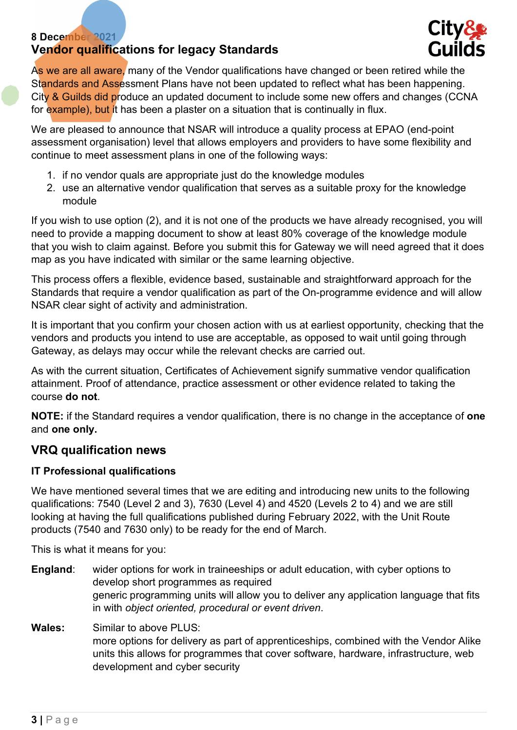#### 8 December 2021 Vendor qualifications for legacy Standards



As we are all aware, many of the Vendor qualifications have changed or been retired while the Standards and Assessment Plans have not been updated to reflect what has been happening. City & Guilds did produce an updated document to include some new offers and changes (CCNA for example), but it has been a plaster on a situation that is continually in flux.

We are pleased to announce that NSAR will introduce a quality process at EPAO (end-point assessment organisation) level that allows employers and providers to have some flexibility and continue to meet assessment plans in one of the following ways:

- 1. if no vendor quals are appropriate just do the knowledge modules
- 2. use an alternative vendor qualification that serves as a suitable proxy for the knowledge module

If you wish to use option (2), and it is not one of the products we have already recognised, you will need to provide a mapping document to show at least 80% coverage of the knowledge module that you wish to claim against. Before you submit this for Gateway we will need agreed that it does map as you have indicated with similar or the same learning objective.

This process offers a flexible, evidence based, sustainable and straightforward approach for the Standards that require a vendor qualification as part of the On-programme evidence and will allow NSAR clear sight of activity and administration.

It is important that you confirm your chosen action with us at earliest opportunity, checking that the vendors and products you intend to use are acceptable, as opposed to wait until going through Gateway, as delays may occur while the relevant checks are carried out.

As with the current situation, Certificates of Achievement signify summative vendor qualification attainment. Proof of attendance, practice assessment or other evidence related to taking the course do not.

NOTE: if the Standard requires a vendor qualification, there is no change in the acceptance of one and one only.

### VRQ qualification news

#### IT Professional qualifications

We have mentioned several times that we are editing and introducing new units to the following qualifications: 7540 (Level 2 and 3), 7630 (Level 4) and 4520 (Levels 2 to 4) and we are still looking at having the full qualifications published during February 2022, with the Unit Route products (7540 and 7630 only) to be ready for the end of March.

This is what it means for you:

- England: wider options for work in traineeships or adult education, with cyber options to develop short programmes as required generic programming units will allow you to deliver any application language that fits in with object oriented, procedural or event driven.
- Wales: Similar to above PLUS: more options for delivery as part of apprenticeships, combined with the Vendor Alike units this allows for programmes that cover software, hardware, infrastructure, web development and cyber security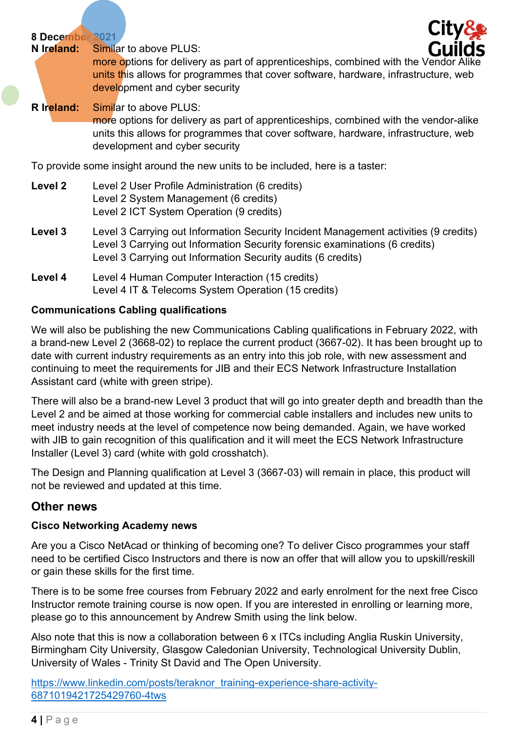8 December 2021

N Ireland: Similar to above PLUS:



more options for delivery as part of apprenticeships, combined with the Vendor Alike units this allows for programmes that cover software, hardware, infrastructure, web development and cyber security

R Ireland: Similar to above PLUS: more options for delivery as part of apprenticeships, combined with the vendor-alike units this allows for programmes that cover software, hardware, infrastructure, web development and cyber security

To provide some insight around the new units to be included, here is a taster:

| Level 2 | Level 2 User Profile Administration (6 credits)<br>Level 2 System Management (6 credits)<br>Level 2 ICT System Operation (9 credits)                                                                                                |
|---------|-------------------------------------------------------------------------------------------------------------------------------------------------------------------------------------------------------------------------------------|
| Level 3 | Level 3 Carrying out Information Security Incident Management activities (9 credits)<br>Level 3 Carrying out Information Security forensic examinations (6 credits)<br>Level 3 Carrying out Information Security audits (6 credits) |
| Level 4 | Level 4 Human Computer Interaction (15 credits)<br>Level 4 IT & Telecoms System Operation (15 credits)                                                                                                                              |

#### Communications Cabling qualifications

We will also be publishing the new Communications Cabling qualifications in February 2022, with a brand-new Level 2 (3668-02) to replace the current product (3667-02). It has been brought up to date with current industry requirements as an entry into this job role, with new assessment and continuing to meet the requirements for JIB and their ECS Network Infrastructure Installation Assistant card (white with green stripe).

There will also be a brand-new Level 3 product that will go into greater depth and breadth than the Level 2 and be aimed at those working for commercial cable installers and includes new units to meet industry needs at the level of competence now being demanded. Again, we have worked with JIB to gain recognition of this qualification and it will meet the ECS Network Infrastructure Installer (Level 3) card (white with gold crosshatch).

The Design and Planning qualification at Level 3 (3667-03) will remain in place, this product will not be reviewed and updated at this time.

#### Other news

#### Cisco Networking Academy news

Are you a Cisco NetAcad or thinking of becoming one? To deliver Cisco programmes your staff need to be certified Cisco Instructors and there is now an offer that will allow you to upskill/reskill or gain these skills for the first time.

There is to be some free courses from February 2022 and early enrolment for the next free Cisco Instructor remote training course is now open. If you are interested in enrolling or learning more, please go to this announcement by Andrew Smith using the link below.

Also note that this is now a collaboration between 6 x ITCs including Anglia Ruskin University, Birmingham City University, Glasgow Caledonian University, Technological University Dublin, University of Wales - Trinity St David and The Open University.

https://www.linkedin.com/posts/teraknor\_training-experience-share-activity-6871019421725429760-4tws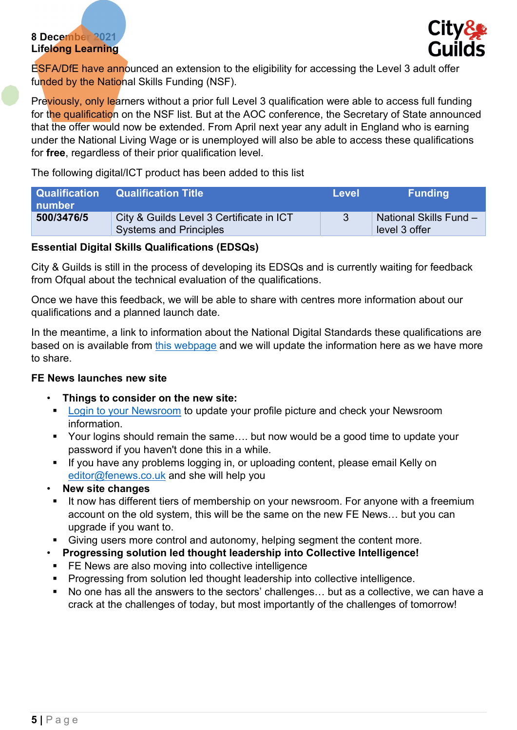#### 8 December 2021 Lifelong Learning



ESFA/DfE have announced an extension to the eligibility for accessing the Level 3 adult offer funded by the National Skills Funding (NSF).

Previously, only learners without a prior full Level 3 qualification were able to access full funding for the qualification on the NSF list. But at the AOC conference, the Secretary of State announced that the offer would now be extended. From April next year any adult in England who is earning under the National Living Wage or is unemployed will also be able to access these qualifications for free, regardless of their prior qualification level.

The following digital/ICT product has been added to this list

| ∣ number   | <b>Qualification Qualification Title</b>                                  | Level | <b>Funding</b>                          |
|------------|---------------------------------------------------------------------------|-------|-----------------------------------------|
| 500/3476/5 | City & Guilds Level 3 Certificate in ICT<br><b>Systems and Principles</b> |       | National Skills Fund -<br>level 3 offer |

#### Essential Digital Skills Qualifications (EDSQs)

City & Guilds is still in the process of developing its EDSQs and is currently waiting for feedback from Ofqual about the technical evaluation of the qualifications.

Once we have this feedback, we will be able to share with centres more information about our qualifications and a planned launch date.

In the meantime, a link to information about the National Digital Standards these qualifications are based on is available from this webpage and we will update the information here as we have more to share.

#### FE News launches new site

- Things to consider on the new site:
	- **Login to your Newsroom to update your profile picture and check your Newsroom** information.
	- Your logins should remain the same.... but now would be a good time to update your password if you haven't done this in a while.
	- If you have any problems logging in, or uploading content, please email Kelly on editor@fenews.co.uk and she will help you
- New site changes
- If now has different tiers of membership on your newsroom. For anyone with a freemium account on the old system, this will be the same on the new FE News… but you can upgrade if you want to.
- Giving users more control and autonomy, helping segment the content more.
- Progressing solution led thought leadership into Collective Intelligence!
- FE News are also moving into collective intelligence
- Progressing from solution led thought leadership into collective intelligence.
- No one has all the answers to the sectors' challenges… but as a collective, we can have a crack at the challenges of today, but most importantly of the challenges of tomorrow!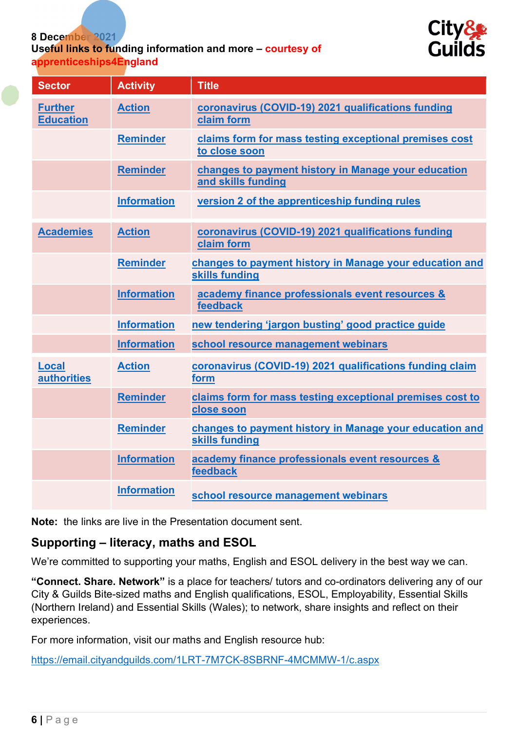#### 8 December 2021

#### Useful links to funding information and more – courtesy of apprenticeships4England



| <b>Sector</b>                      | <b>Activity</b>    | <b>Title</b>                                                              |
|------------------------------------|--------------------|---------------------------------------------------------------------------|
| <b>Further</b><br><b>Education</b> | <b>Action</b>      | coronavirus (COVID-19) 2021 qualifications funding<br>claim form          |
|                                    | <b>Reminder</b>    | claims form for mass testing exceptional premises cost<br>to close soon   |
|                                    | <b>Reminder</b>    | changes to payment history in Manage your education<br>and skills funding |
|                                    | <b>Information</b> | version 2 of the apprenticeship funding rules                             |
| <b>Academies</b>                   | <b>Action</b>      | coronavirus (COVID-19) 2021 qualifications funding<br>claim form          |
|                                    | <b>Reminder</b>    | changes to payment history in Manage your education and<br>skills funding |
|                                    | <b>Information</b> | academy finance professionals event resources &<br>feedback               |
|                                    | <b>Information</b> | new tendering 'jargon busting' good practice guide                        |
|                                    | <b>Information</b> | school resource management webinars                                       |
| <b>Local</b><br><b>authorities</b> | <b>Action</b>      | coronavirus (COVID-19) 2021 qualifications funding claim<br>form          |
|                                    | <b>Reminder</b>    | claims form for mass testing exceptional premises cost to<br>close soon   |
|                                    | <b>Reminder</b>    | changes to payment history in Manage your education and<br>skills funding |
|                                    | <b>Information</b> | academy finance professionals event resources &<br>feedback               |
|                                    | <b>Information</b> | school resource management webinars                                       |

Note: the links are live in the Presentation document sent.

#### Supporting – literacy, maths and ESOL

We're committed to supporting your maths, English and ESOL delivery in the best way we can.

"Connect. Share. Network" is a place for teachers/ tutors and co-ordinators delivering any of our City & Guilds Bite-sized maths and English qualifications, ESOL, Employability, Essential Skills (Northern Ireland) and Essential Skills (Wales); to network, share insights and reflect on their experiences.

For more information, visit our maths and English resource hub:

https://email.cityandguilds.com/1LRT-7M7CK-8SBRNF-4MCMMW-1/c.aspx